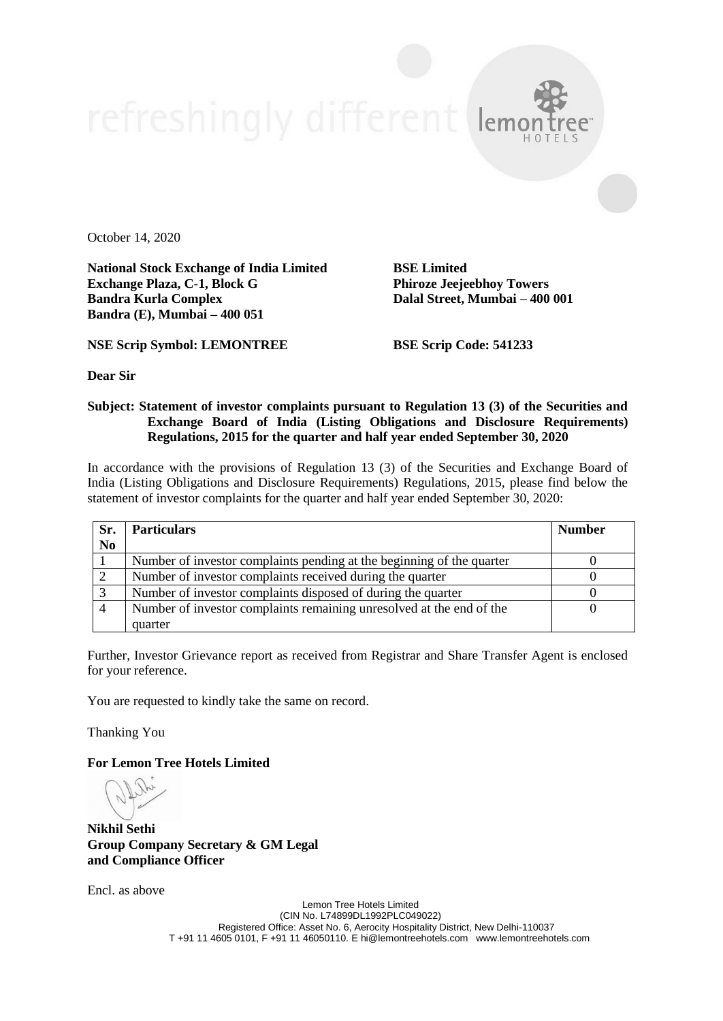October 14, 2020

**National Stock Exchange of India Limited BSE Limited Exchange Plaza, C-1, Block G Phiroze Jeejeebhoy Towers Bandra Kurla Complex Dalal Street, Mumbai – 400 001 Bandra (E), Mumbai – 400 051**

**NSE Scrip Symbol: LEMONTREE BSE Scrip Code: 541233**

**Dear Sir**

## **Subject: Statement of investor complaints pursuant to Regulation 13 (3) of the Securities and Exchange Board of India (Listing Obligations and Disclosure Requirements) Regulations, 2015 for the quarter and half year ended September 30, 2020**

In accordance with the provisions of Regulation 13 (3) of the Securities and Exchange Board of India (Listing Obligations and Disclosure Requirements) Regulations, 2015, please find below the statement of investor complaints for the quarter and half year ended September 30, 2020:

| Sr.            | <b>Particulars</b>                                                    | <b>Number</b> |
|----------------|-----------------------------------------------------------------------|---------------|
| N <sub>0</sub> |                                                                       |               |
|                | Number of investor complaints pending at the beginning of the quarter |               |
|                | Number of investor complaints received during the quarter             |               |
|                | Number of investor complaints disposed of during the quarter          |               |
|                | Number of investor complaints remaining unresolved at the end of the  |               |
|                | quarter                                                               |               |

Further, Investor Grievance report as received from Registrar and Share Transfer Agent is enclosed for your reference.

You are requested to kindly take the same on record.

Thanking You

**For Lemon Tree Hotels Limited**

**Nikhil Sethi Group Company Secretary & GM Legal and Compliance Officer**

Encl. as above

Lemon Tree Hotels Limited (CIN No. L74899DL1992PLC049022) Registered Office: Asset No. 6, Aerocity Hospitality District, New Delhi-110037 T +91 11 4605 0101, F +91 11 46050110. E hi@lemontreehotels.com www.lemontreehotels.com